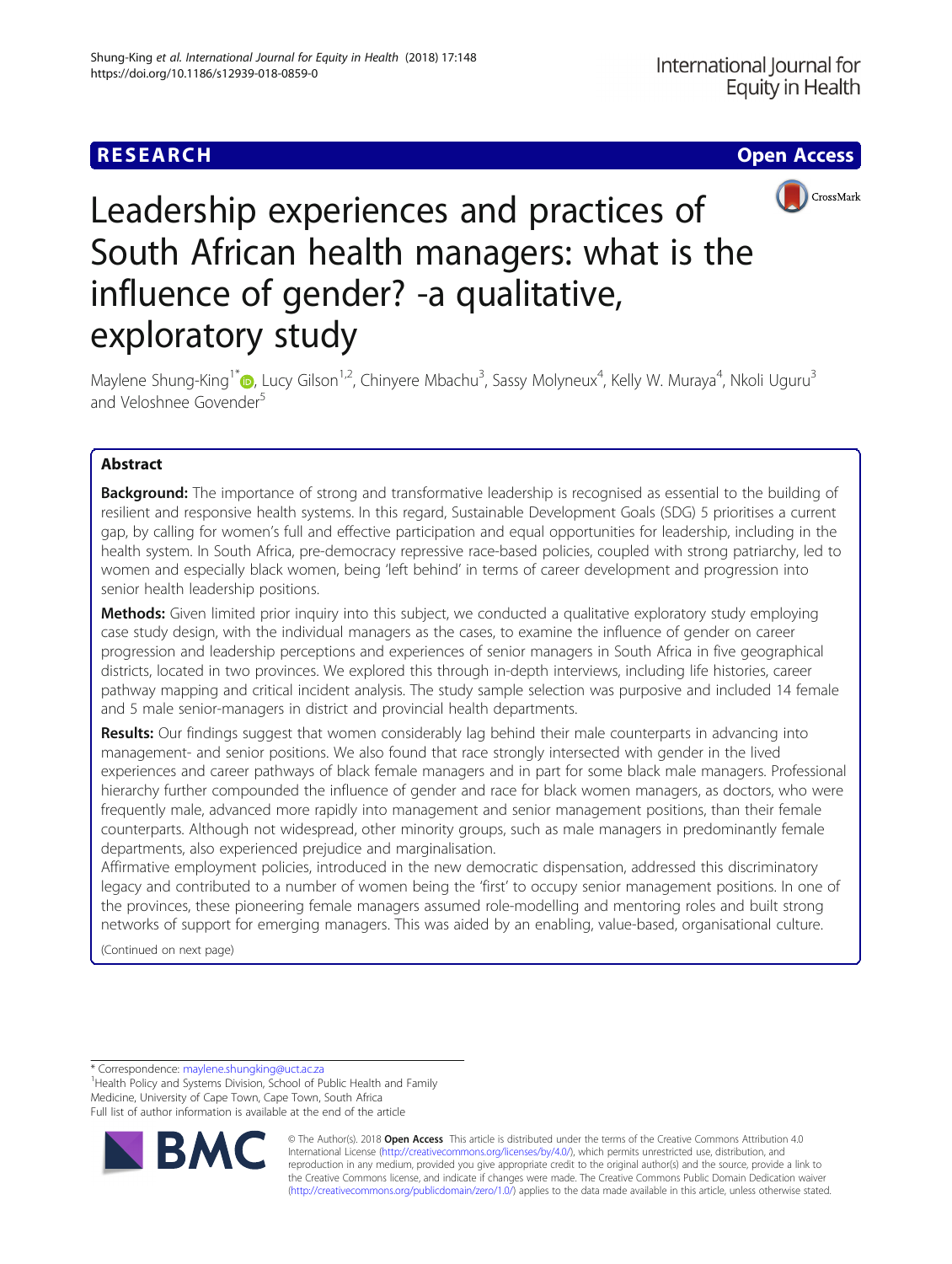## **RESEARCH CHE Open Access**



# Leadership experiences and practices of South African health managers: what is the influence of gender? -a qualitative, exploratory study

Maylene Shung-King<sup>1[\\*](http://orcid.org/0000-0003-2281-8631)</sup> (@, Lucy Gilson<sup>1,2</sup>, Chinyere Mbachu<sup>3</sup>, Sassy Molyneux<sup>4</sup>, Kelly W. Muraya<sup>4</sup>, Nkoli Uguru<sup>3</sup> and Veloshnee Govender<sup>5</sup>

## Abstract

**Background:** The importance of strong and transformative leadership is recognised as essential to the building of resilient and responsive health systems. In this regard, Sustainable Development Goals (SDG) 5 prioritises a current gap, by calling for women's full and effective participation and equal opportunities for leadership, including in the health system. In South Africa, pre-democracy repressive race-based policies, coupled with strong patriarchy, led to women and especially black women, being 'left behind' in terms of career development and progression into senior health leadership positions.

Methods: Given limited prior inquiry into this subject, we conducted a qualitative exploratory study employing case study design, with the individual managers as the cases, to examine the influence of gender on career progression and leadership perceptions and experiences of senior managers in South Africa in five geographical districts, located in two provinces. We explored this through in-depth interviews, including life histories, career pathway mapping and critical incident analysis. The study sample selection was purposive and included 14 female and 5 male senior-managers in district and provincial health departments.

Results: Our findings suggest that women considerably lag behind their male counterparts in advancing into management- and senior positions. We also found that race strongly intersected with gender in the lived experiences and career pathways of black female managers and in part for some black male managers. Professional hierarchy further compounded the influence of gender and race for black women managers, as doctors, who were frequently male, advanced more rapidly into management and senior management positions, than their female counterparts. Although not widespread, other minority groups, such as male managers in predominantly female departments, also experienced prejudice and marginalisation.

Affirmative employment policies, introduced in the new democratic dispensation, addressed this discriminatory legacy and contributed to a number of women being the 'first' to occupy senior management positions. In one of the provinces, these pioneering female managers assumed role-modelling and mentoring roles and built strong networks of support for emerging managers. This was aided by an enabling, value-based, organisational culture.

(Continued on next page)

\* Correspondence: [maylene.shungking@uct.ac.za](mailto:maylene.shungking@uct.ac.za) <sup>1</sup>

<sup>1</sup> Health Policy and Systems Division, School of Public Health and Family Medicine, University of Cape Town, Cape Town, South Africa Full list of author information is available at the end of the article



© The Author(s). 2018 Open Access This article is distributed under the terms of the Creative Commons Attribution 4.0 International License [\(http://creativecommons.org/licenses/by/4.0/](http://creativecommons.org/licenses/by/4.0/)), which permits unrestricted use, distribution, and reproduction in any medium, provided you give appropriate credit to the original author(s) and the source, provide a link to the Creative Commons license, and indicate if changes were made. The Creative Commons Public Domain Dedication waiver [\(http://creativecommons.org/publicdomain/zero/1.0/](http://creativecommons.org/publicdomain/zero/1.0/)) applies to the data made available in this article, unless otherwise stated.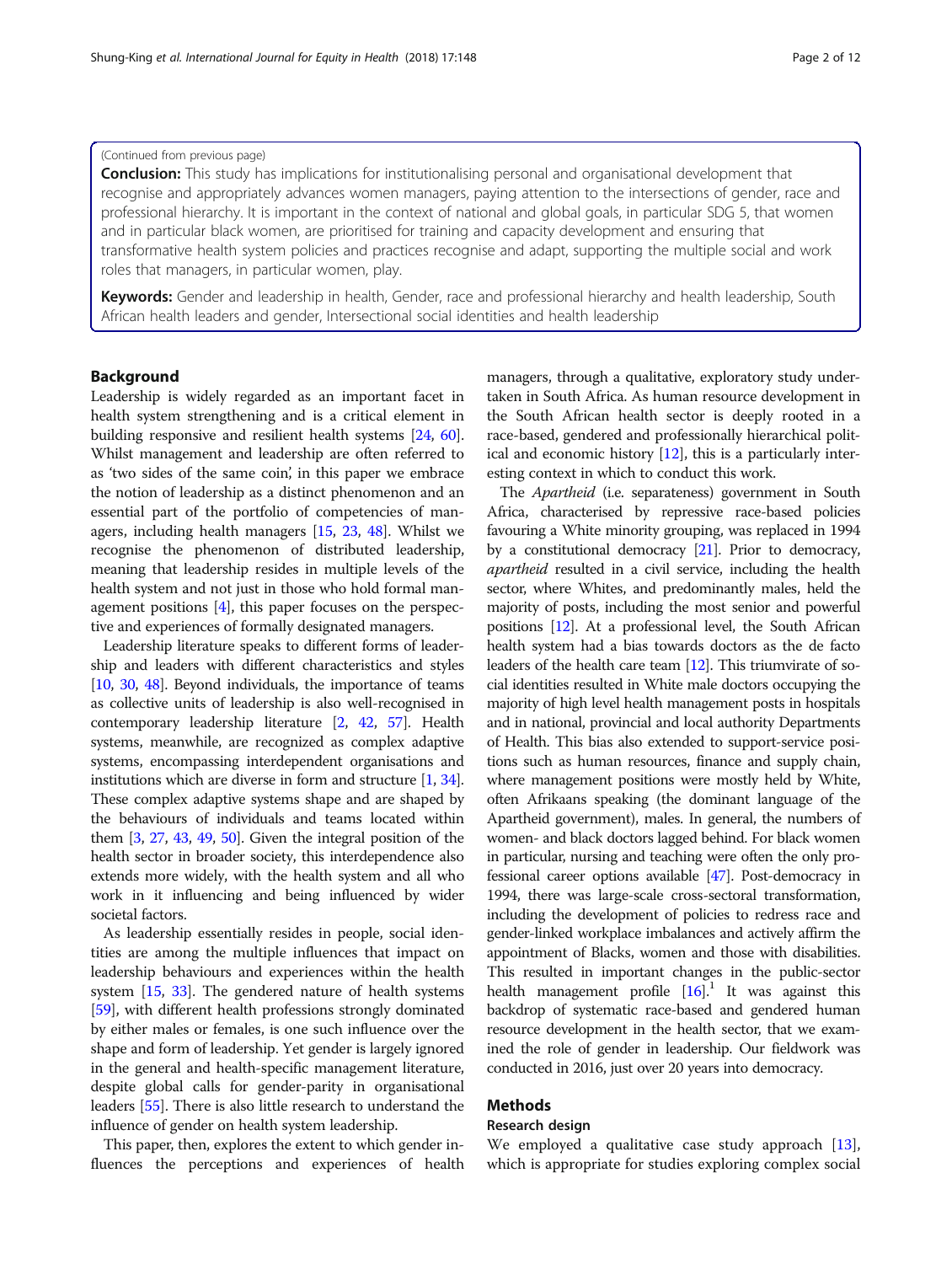## (Continued from previous page)

**Conclusion:** This study has implications for institutionalising personal and organisational development that recognise and appropriately advances women managers, paying attention to the intersections of gender, race and professional hierarchy. It is important in the context of national and global goals, in particular SDG 5, that women and in particular black women, are prioritised for training and capacity development and ensuring that transformative health system policies and practices recognise and adapt, supporting the multiple social and work roles that managers, in particular women, play.

Keywords: Gender and leadership in health, Gender, race and professional hierarchy and health leadership, South African health leaders and gender, Intersectional social identities and health leadership

## Background

Leadership is widely regarded as an important facet in health system strengthening and is a critical element in building responsive and resilient health systems [\[24,](#page-11-0) [60](#page-11-0)]. Whilst management and leadership are often referred to as 'two sides of the same coin', in this paper we embrace the notion of leadership as a distinct phenomenon and an essential part of the portfolio of competencies of managers, including health managers [[15](#page-11-0), [23,](#page-11-0) [48\]](#page-11-0). Whilst we recognise the phenomenon of distributed leadership, meaning that leadership resides in multiple levels of the health system and not just in those who hold formal management positions [[4\]](#page-11-0), this paper focuses on the perspective and experiences of formally designated managers.

Leadership literature speaks to different forms of leadership and leaders with different characteristics and styles [[10](#page-11-0), [30,](#page-11-0) [48\]](#page-11-0). Beyond individuals, the importance of teams as collective units of leadership is also well-recognised in contemporary leadership literature [\[2,](#page-10-0) [42,](#page-11-0) [57](#page-11-0)]. Health systems, meanwhile, are recognized as complex adaptive systems, encompassing interdependent organisations and institutions which are diverse in form and structure [\[1](#page-10-0), [34](#page-11-0)]. These complex adaptive systems shape and are shaped by the behaviours of individuals and teams located within them [[3](#page-10-0), [27](#page-11-0), [43](#page-11-0), [49,](#page-11-0) [50\]](#page-11-0). Given the integral position of the health sector in broader society, this interdependence also extends more widely, with the health system and all who work in it influencing and being influenced by wider societal factors.

As leadership essentially resides in people, social identities are among the multiple influences that impact on leadership behaviours and experiences within the health system [\[15,](#page-11-0) [33](#page-11-0)]. The gendered nature of health systems [[59](#page-11-0)], with different health professions strongly dominated by either males or females, is one such influence over the shape and form of leadership. Yet gender is largely ignored in the general and health-specific management literature, despite global calls for gender-parity in organisational leaders [\[55](#page-11-0)]. There is also little research to understand the influence of gender on health system leadership.

This paper, then, explores the extent to which gender influences the perceptions and experiences of health managers, through a qualitative, exploratory study undertaken in South Africa. As human resource development in the South African health sector is deeply rooted in a race-based, gendered and professionally hierarchical political and economic history  $[12]$ , this is a particularly interesting context in which to conduct this work.

The *Apartheid* (i.e. separateness) government in South Africa, characterised by repressive race-based policies favouring a White minority grouping, was replaced in 1994 by a constitutional democracy [\[21](#page-11-0)]. Prior to democracy, apartheid resulted in a civil service, including the health sector, where Whites, and predominantly males, held the majority of posts, including the most senior and powerful positions [\[12\]](#page-11-0). At a professional level, the South African health system had a bias towards doctors as the de facto leaders of the health care team [\[12](#page-11-0)]. This triumvirate of social identities resulted in White male doctors occupying the majority of high level health management posts in hospitals and in national, provincial and local authority Departments of Health. This bias also extended to support-service positions such as human resources, finance and supply chain, where management positions were mostly held by White, often Afrikaans speaking (the dominant language of the Apartheid government), males. In general, the numbers of women- and black doctors lagged behind. For black women in particular, nursing and teaching were often the only professional career options available [\[47](#page-11-0)]. Post-democracy in 1994, there was large-scale cross-sectoral transformation, including the development of policies to redress race and gender-linked workplace imbalances and actively affirm the appointment of Blacks, women and those with disabilities. This resulted in important changes in the public-sector health management profile  $[16]$ .<sup>1</sup> It was against this backdrop of systematic race-based and gendered human resource development in the health sector, that we examined the role of gender in leadership. Our fieldwork was conducted in 2016, just over 20 years into democracy.

## Methods

## Research design

We employed a qualitative case study approach [\[13](#page-11-0)], which is appropriate for studies exploring complex social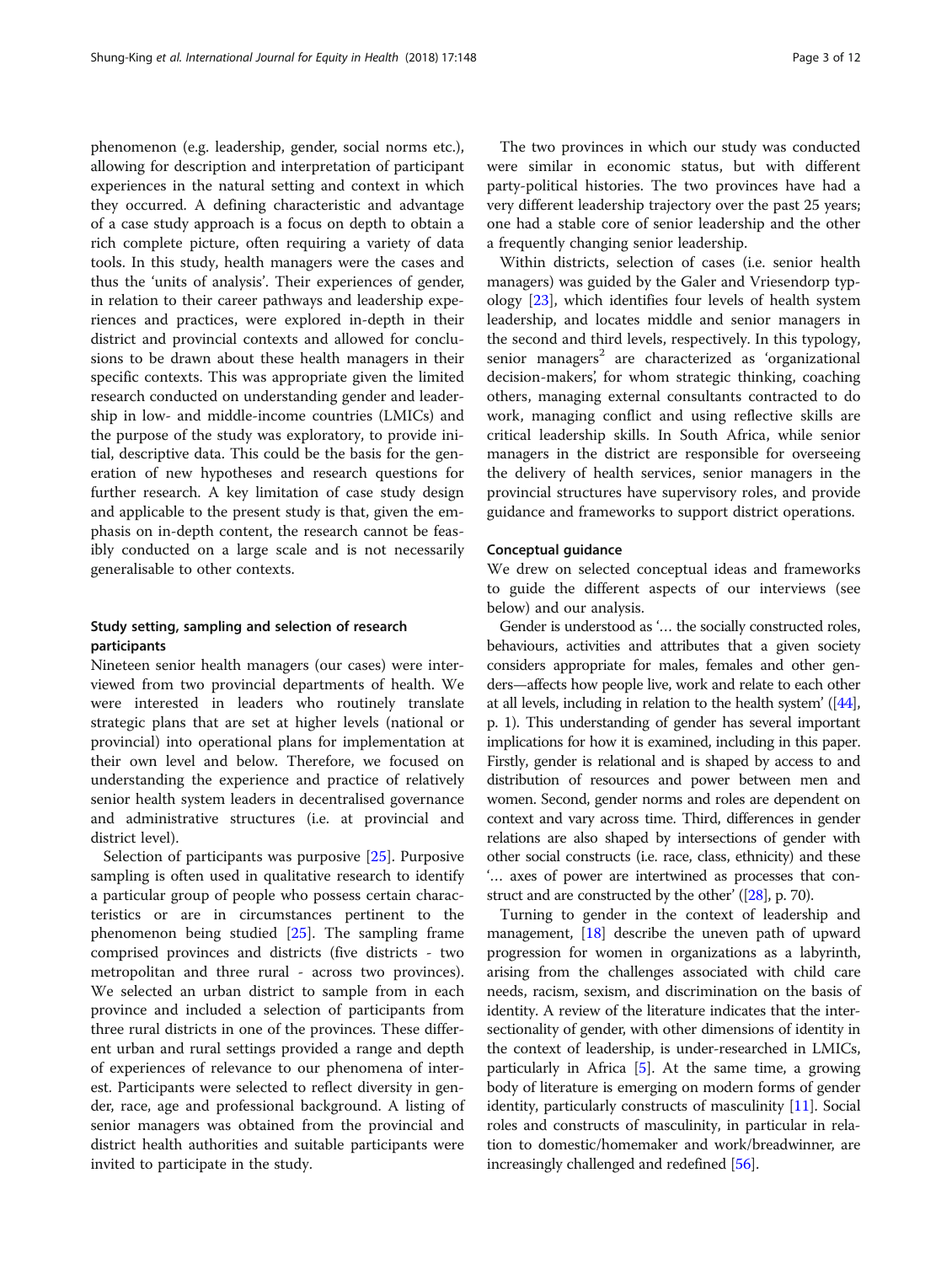phenomenon (e.g. leadership, gender, social norms etc.), allowing for description and interpretation of participant experiences in the natural setting and context in which they occurred. A defining characteristic and advantage of a case study approach is a focus on depth to obtain a rich complete picture, often requiring a variety of data tools. In this study, health managers were the cases and thus the 'units of analysis'. Their experiences of gender, in relation to their career pathways and leadership experiences and practices, were explored in-depth in their district and provincial contexts and allowed for conclusions to be drawn about these health managers in their specific contexts. This was appropriate given the limited research conducted on understanding gender and leadership in low- and middle-income countries (LMICs) and the purpose of the study was exploratory, to provide initial, descriptive data. This could be the basis for the generation of new hypotheses and research questions for further research. A key limitation of case study design and applicable to the present study is that, given the emphasis on in-depth content, the research cannot be feasibly conducted on a large scale and is not necessarily generalisable to other contexts.

## Study setting, sampling and selection of research participants

Nineteen senior health managers (our cases) were interviewed from two provincial departments of health. We were interested in leaders who routinely translate strategic plans that are set at higher levels (national or provincial) into operational plans for implementation at their own level and below. Therefore, we focused on understanding the experience and practice of relatively senior health system leaders in decentralised governance and administrative structures (i.e. at provincial and district level).

Selection of participants was purposive [\[25\]](#page-11-0). Purposive sampling is often used in qualitative research to identify a particular group of people who possess certain characteristics or are in circumstances pertinent to the phenomenon being studied [\[25](#page-11-0)]. The sampling frame comprised provinces and districts (five districts - two metropolitan and three rural - across two provinces). We selected an urban district to sample from in each province and included a selection of participants from three rural districts in one of the provinces. These different urban and rural settings provided a range and depth of experiences of relevance to our phenomena of interest. Participants were selected to reflect diversity in gender, race, age and professional background. A listing of senior managers was obtained from the provincial and district health authorities and suitable participants were invited to participate in the study.

The two provinces in which our study was conducted were similar in economic status, but with different party-political histories. The two provinces have had a very different leadership trajectory over the past 25 years; one had a stable core of senior leadership and the other a frequently changing senior leadership.

Within districts, selection of cases (i.e. senior health managers) was guided by the Galer and Vriesendorp typology [[23\]](#page-11-0), which identifies four levels of health system leadership, and locates middle and senior managers in the second and third levels, respectively. In this typology, senior managers<sup>2</sup> are characterized as 'organizational decision-makers', for whom strategic thinking, coaching others, managing external consultants contracted to do work, managing conflict and using reflective skills are critical leadership skills. In South Africa, while senior managers in the district are responsible for overseeing the delivery of health services, senior managers in the provincial structures have supervisory roles, and provide guidance and frameworks to support district operations.

### Conceptual guidance

We drew on selected conceptual ideas and frameworks to guide the different aspects of our interviews (see below) and our analysis.

Gender is understood as '… the socially constructed roles, behaviours, activities and attributes that a given society considers appropriate for males, females and other genders—affects how people live, work and relate to each other at all levels, including in relation to the health system' ([\[44](#page-11-0)], p. 1). This understanding of gender has several important implications for how it is examined, including in this paper. Firstly, gender is relational and is shaped by access to and distribution of resources and power between men and women. Second, gender norms and roles are dependent on context and vary across time. Third, differences in gender relations are also shaped by intersections of gender with other social constructs (i.e. race, class, ethnicity) and these '… axes of power are intertwined as processes that construct and are constructed by the other' ([\[28\]](#page-11-0), p. 70).

Turning to gender in the context of leadership and management, [[18](#page-11-0)] describe the uneven path of upward progression for women in organizations as a labyrinth, arising from the challenges associated with child care needs, racism, sexism, and discrimination on the basis of identity. A review of the literature indicates that the intersectionality of gender, with other dimensions of identity in the context of leadership, is under-researched in LMICs, particularly in Africa [[5\]](#page-11-0). At the same time, a growing body of literature is emerging on modern forms of gender identity, particularly constructs of masculinity [\[11\]](#page-11-0). Social roles and constructs of masculinity, in particular in relation to domestic/homemaker and work/breadwinner, are increasingly challenged and redefined [\[56\]](#page-11-0).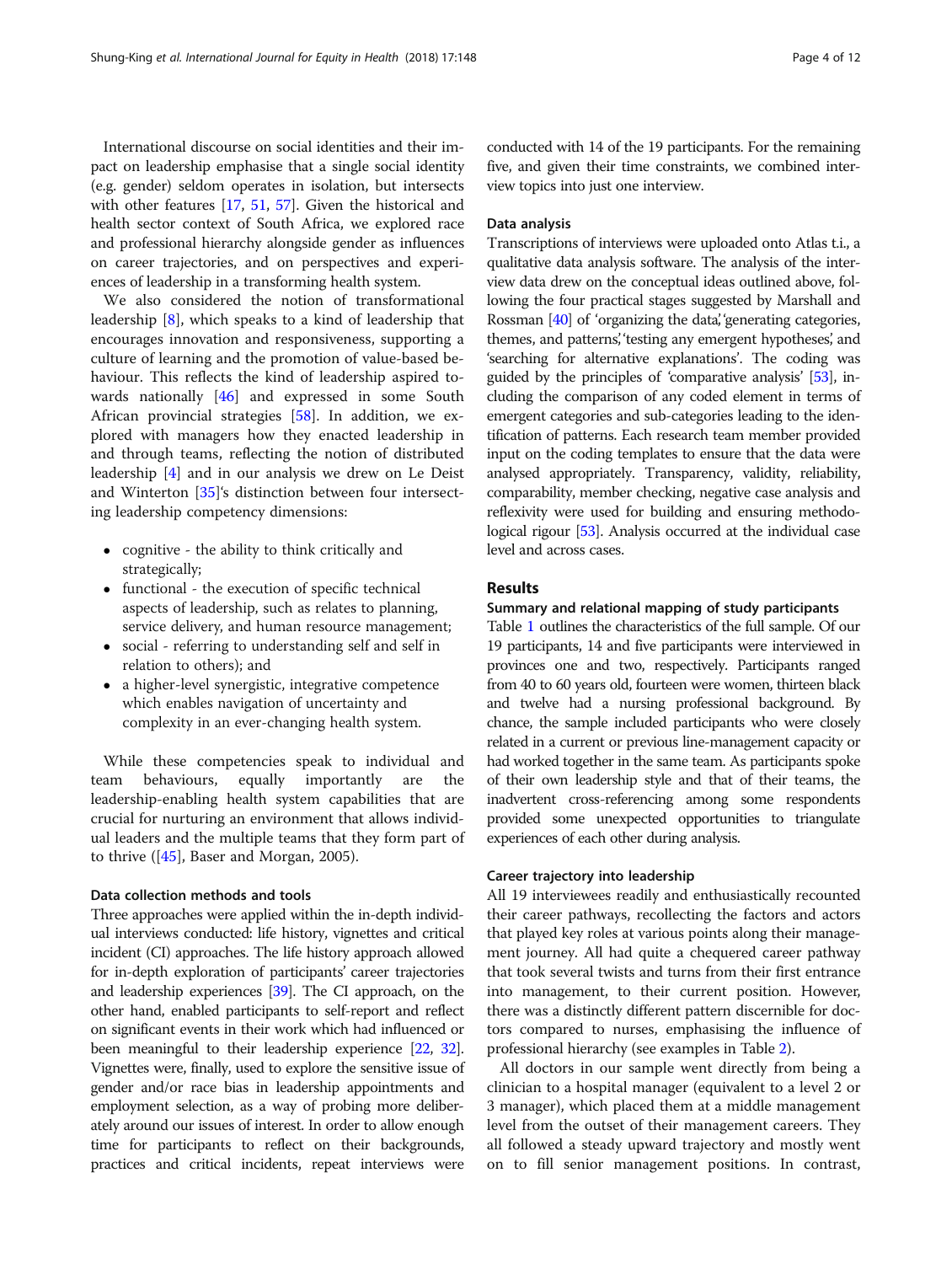International discourse on social identities and their impact on leadership emphasise that a single social identity (e.g. gender) seldom operates in isolation, but intersects with other features [\[17](#page-11-0), [51,](#page-11-0) [57](#page-11-0)]. Given the historical and health sector context of South Africa, we explored race and professional hierarchy alongside gender as influences on career trajectories, and on perspectives and experiences of leadership in a transforming health system.

We also considered the notion of transformational leadership [[8\]](#page-11-0), which speaks to a kind of leadership that encourages innovation and responsiveness, supporting a culture of learning and the promotion of value-based behaviour. This reflects the kind of leadership aspired towards nationally [[46\]](#page-11-0) and expressed in some South African provincial strategies [[58\]](#page-11-0). In addition, we explored with managers how they enacted leadership in and through teams, reflecting the notion of distributed leadership [\[4](#page-11-0)] and in our analysis we drew on Le Deist and Winterton [\[35\]](#page-11-0)'s distinction between four intersecting leadership competency dimensions:

- cognitive the ability to think critically and strategically;
- functional the execution of specific technical aspects of leadership, such as relates to planning, service delivery, and human resource management;
- social referring to understanding self and self in relation to others); and
- a higher-level synergistic, integrative competence which enables navigation of uncertainty and complexity in an ever-changing health system.

While these competencies speak to individual and team behaviours, equally importantly are the leadership-enabling health system capabilities that are crucial for nurturing an environment that allows individual leaders and the multiple teams that they form part of to thrive ([[45\]](#page-11-0), Baser and Morgan, 2005).

## Data collection methods and tools

Three approaches were applied within the in-depth individual interviews conducted: life history, vignettes and critical incident (CI) approaches. The life history approach allowed for in-depth exploration of participants' career trajectories and leadership experiences [[39](#page-11-0)]. The CI approach, on the other hand, enabled participants to self-report and reflect on significant events in their work which had influenced or been meaningful to their leadership experience [[22](#page-11-0), [32](#page-11-0)]. Vignettes were, finally, used to explore the sensitive issue of gender and/or race bias in leadership appointments and employment selection, as a way of probing more deliberately around our issues of interest. In order to allow enough time for participants to reflect on their backgrounds, practices and critical incidents, repeat interviews were

conducted with 14 of the 19 participants. For the remaining five, and given their time constraints, we combined interview topics into just one interview.

## Data analysis

Transcriptions of interviews were uploaded onto Atlas t.i., a qualitative data analysis software. The analysis of the interview data drew on the conceptual ideas outlined above, following the four practical stages suggested by Marshall and Rossman [\[40](#page-11-0)] of 'organizing the data' generating categories, themes, and patterns, 'testing any emergent hypotheses', and 'searching for alternative explanations'. The coding was guided by the principles of 'comparative analysis' [\[53\]](#page-11-0), including the comparison of any coded element in terms of emergent categories and sub-categories leading to the identification of patterns. Each research team member provided input on the coding templates to ensure that the data were analysed appropriately. Transparency, validity, reliability, comparability, member checking, negative case analysis and reflexivity were used for building and ensuring methodo-logical rigour [\[53\]](#page-11-0). Analysis occurred at the individual case level and across cases.

## Results

## Summary and relational mapping of study participants

Table [1](#page-4-0) outlines the characteristics of the full sample. Of our 19 participants, 14 and five participants were interviewed in provinces one and two, respectively. Participants ranged from 40 to 60 years old, fourteen were women, thirteen black and twelve had a nursing professional background. By chance, the sample included participants who were closely related in a current or previous line-management capacity or had worked together in the same team. As participants spoke of their own leadership style and that of their teams, the inadvertent cross-referencing among some respondents provided some unexpected opportunities to triangulate experiences of each other during analysis.

## Career trajectory into leadership

All 19 interviewees readily and enthusiastically recounted their career pathways, recollecting the factors and actors that played key roles at various points along their management journey. All had quite a chequered career pathway that took several twists and turns from their first entrance into management, to their current position. However, there was a distinctly different pattern discernible for doctors compared to nurses, emphasising the influence of professional hierarchy (see examples in Table [2](#page-4-0)).

All doctors in our sample went directly from being a clinician to a hospital manager (equivalent to a level 2 or 3 manager), which placed them at a middle management level from the outset of their management careers. They all followed a steady upward trajectory and mostly went on to fill senior management positions. In contrast,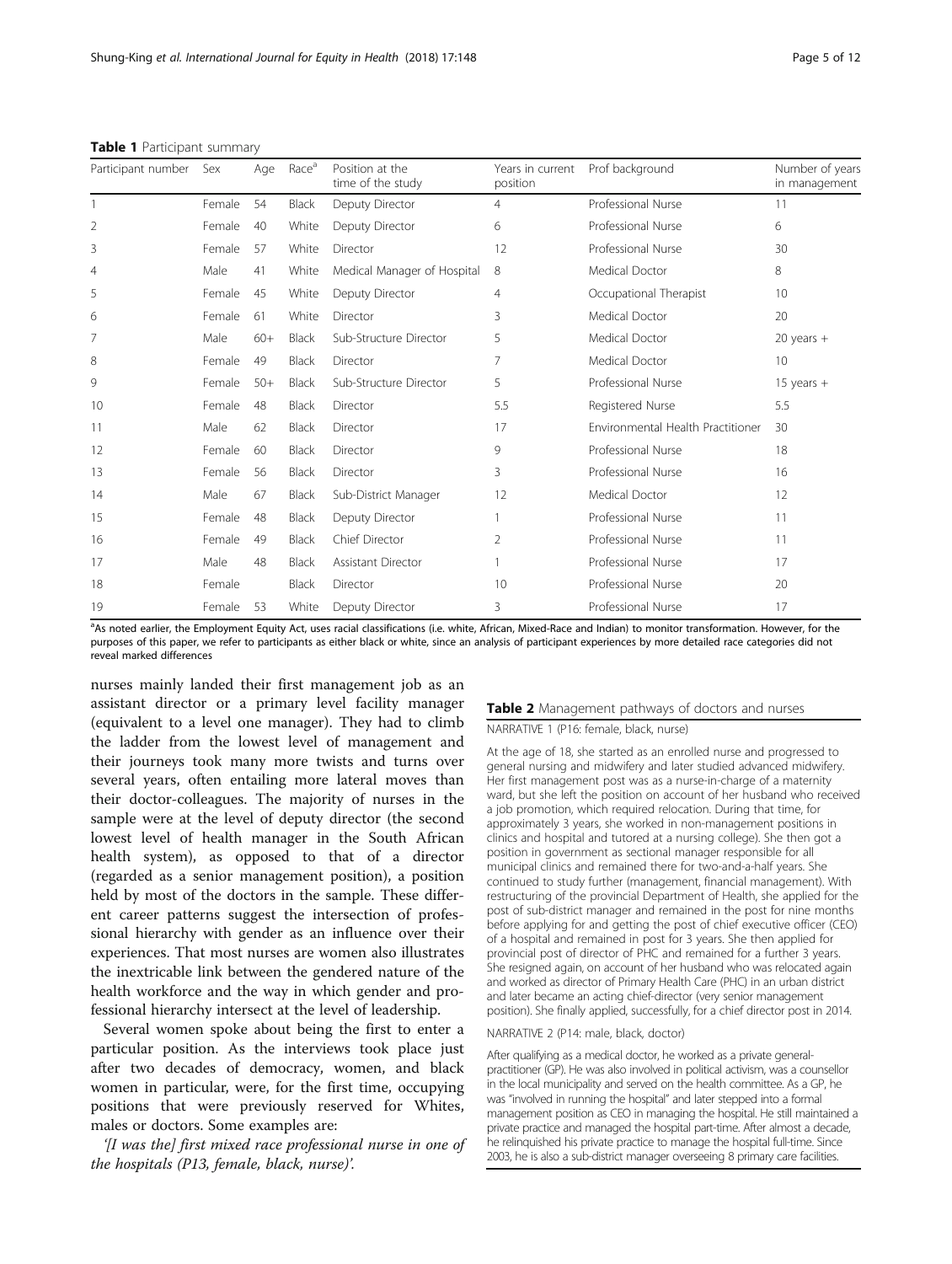| Participant number | Sex    | Age   | Race <sup>a</sup> | Position at the<br>time of the study | Years in current<br>position | Prof background                   | Number of years<br>in management |
|--------------------|--------|-------|-------------------|--------------------------------------|------------------------------|-----------------------------------|----------------------------------|
|                    | Female | 54    | Black             | Deputy Director                      | 4                            | Professional Nurse                | 11                               |
| 2                  | Female | 40    | White             | Deputy Director                      | 6                            | Professional Nurse                | 6                                |
| 3                  | Female | 57    | White             | Director                             | 12                           | Professional Nurse                | 30                               |
| 4                  | Male   | 41    | White             | Medical Manager of Hospital          | 8                            | Medical Doctor                    | 8                                |
| 5                  | Female | 45    | White             | Deputy Director                      | $\overline{4}$               | Occupational Therapist            | 10 <sup>°</sup>                  |
| 6                  | Female | 61    | White             | Director                             | 3                            | Medical Doctor                    | 20                               |
| 7                  | Male   | $60+$ | Black             | Sub-Structure Director               | 5                            | Medical Doctor                    | $20$ years $+$                   |
| 8                  | Female | 49    | Black             | Director                             | 7                            | Medical Doctor                    | 10 <sup>°</sup>                  |
| 9                  | Female | $50+$ | <b>Black</b>      | Sub-Structure Director               | 5                            | Professional Nurse                | 15 years $+$                     |
| 10                 | Female | 48    | <b>Black</b>      | Director                             | 5.5                          | Registered Nurse                  | 5.5                              |
| 11                 | Male   | 62    | Black             | Director                             | 17                           | Environmental Health Practitioner | 30                               |
| 12                 | Female | 60    | Black             | Director                             | 9                            | Professional Nurse                | 18                               |
| 13                 | Female | 56    | Black             | Director                             | 3                            | Professional Nurse                | 16                               |
| 14                 | Male   | 67    | <b>Black</b>      | Sub-District Manager                 | 12                           | Medical Doctor                    | $12 \overline{ }$                |
| 15                 | Female | 48    | <b>Black</b>      | Deputy Director                      |                              | Professional Nurse                | 11                               |
| 16                 | Female | 49    | Black             | Chief Director                       | 2                            | Professional Nurse                | 11                               |
| 17                 | Male   | 48    | Black             | Assistant Director                   |                              | Professional Nurse                | 17                               |
| 18                 | Female |       | <b>Black</b>      | Director                             | 10                           | Professional Nurse                | 20                               |
| 19                 | Female | 53    | White             | Deputy Director                      | 3                            | Professional Nurse                | 17                               |

<span id="page-4-0"></span>Table 1 Participant summary

<sup>a</sup>As noted earlier, the Employment Equity Act, uses racial classifications (i.e. white, African, Mixed-Race and Indian) to monitor transformation. However, for the purposes of this paper, we refer to participants as either black or white, since an analysis of participant experiences by more detailed race categories did not reveal marked differences

nurses mainly landed their first management job as an assistant director or a primary level facility manager (equivalent to a level one manager). They had to climb the ladder from the lowest level of management and their journeys took many more twists and turns over several years, often entailing more lateral moves than their doctor-colleagues. The majority of nurses in the sample were at the level of deputy director (the second lowest level of health manager in the South African health system), as opposed to that of a director (regarded as a senior management position), a position held by most of the doctors in the sample. These different career patterns suggest the intersection of professional hierarchy with gender as an influence over their experiences. That most nurses are women also illustrates the inextricable link between the gendered nature of the health workforce and the way in which gender and professional hierarchy intersect at the level of leadership.

Several women spoke about being the first to enter a particular position. As the interviews took place just after two decades of democracy, women, and black women in particular, were, for the first time, occupying positions that were previously reserved for Whites, males or doctors. Some examples are:

'[I was the] first mixed race professional nurse in one of the hospitals (P13, female, black, nurse)'.

#### Table 2 Management pathways of doctors and nurses

NARRATIVE 1 (P16: female, black, nurse)

At the age of 18, she started as an enrolled nurse and progressed to general nursing and midwifery and later studied advanced midwifery. Her first management post was as a nurse-in-charge of a maternity ward, but she left the position on account of her husband who received a job promotion, which required relocation. During that time, for approximately 3 years, she worked in non-management positions in clinics and hospital and tutored at a nursing college). She then got a position in government as sectional manager responsible for all municipal clinics and remained there for two-and-a-half years. She continued to study further (management, financial management). With restructuring of the provincial Department of Health, she applied for the post of sub-district manager and remained in the post for nine months before applying for and getting the post of chief executive officer (CEO) of a hospital and remained in post for 3 years. She then applied for provincial post of director of PHC and remained for a further 3 years. She resigned again, on account of her husband who was relocated again and worked as director of Primary Health Care (PHC) in an urban district and later became an acting chief-director (very senior management position). She finally applied, successfully, for a chief director post in 2014.

#### NARRATIVE 2 (P14: male, black, doctor)

After qualifying as a medical doctor, he worked as a private generalpractitioner (GP). He was also involved in political activism, was a counsellor in the local municipality and served on the health committee. As a GP, he was "involved in running the hospital" and later stepped into a formal management position as CEO in managing the hospital. He still maintained a private practice and managed the hospital part-time. After almost a decade, he relinquished his private practice to manage the hospital full-time. Since 2003, he is also a sub-district manager overseeing 8 primary care facilities.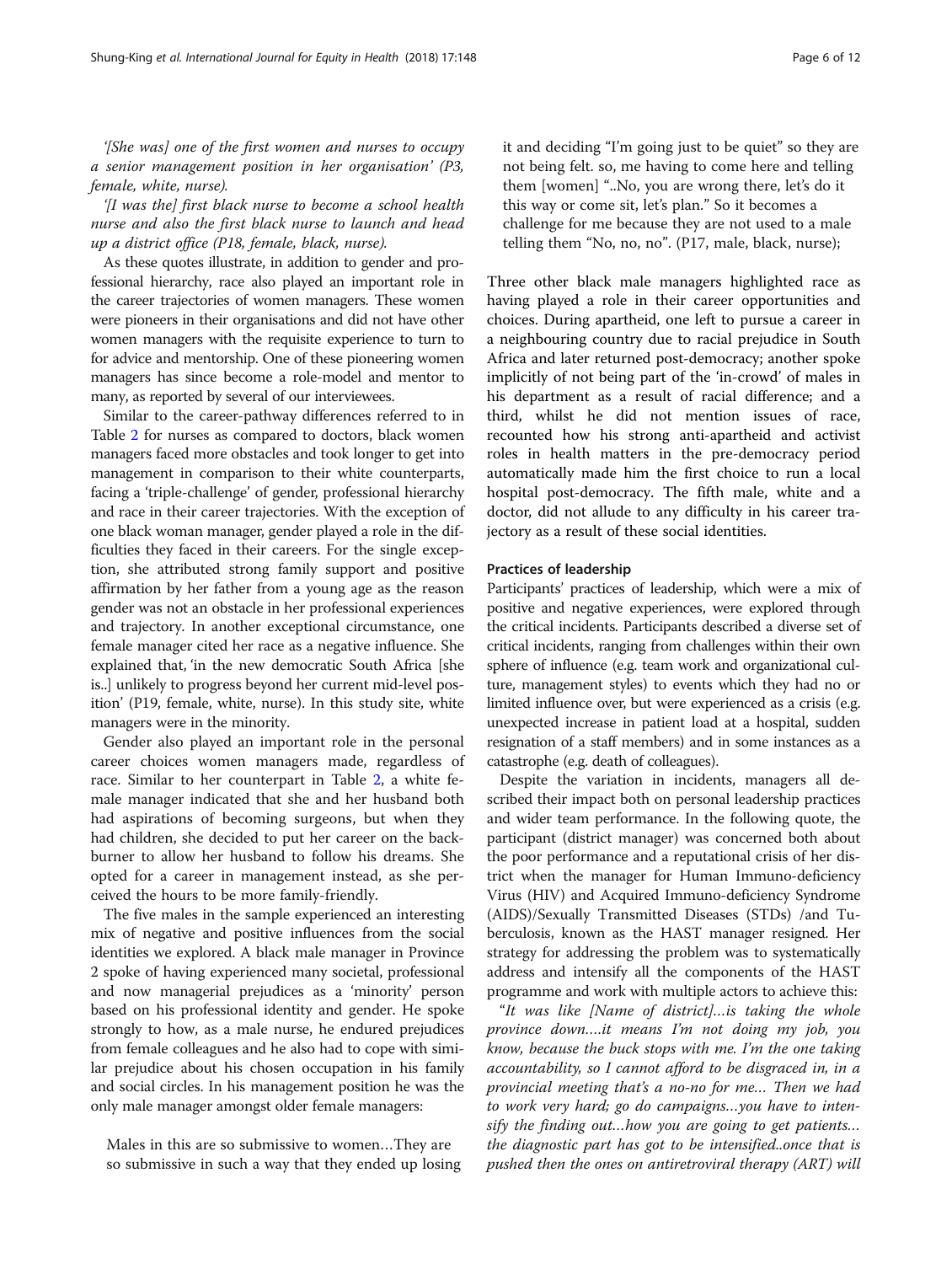'[I was the] first black nurse to become a school health nurse and also the first black nurse to launch and head up a district office (P18, female, black, nurse).

As these quotes illustrate, in addition to gender and professional hierarchy, race also played an important role in the career trajectories of women managers. These women were pioneers in their organisations and did not have other women managers with the requisite experience to turn to for advice and mentorship. One of these pioneering women managers has since become a role-model and mentor to many, as reported by several of our interviewees.

Similar to the career-pathway differences referred to in Table [2](#page-4-0) for nurses as compared to doctors, black women managers faced more obstacles and took longer to get into management in comparison to their white counterparts, facing a 'triple-challenge' of gender, professional hierarchy and race in their career trajectories. With the exception of one black woman manager, gender played a role in the difficulties they faced in their careers. For the single exception, she attributed strong family support and positive affirmation by her father from a young age as the reason gender was not an obstacle in her professional experiences and trajectory. In another exceptional circumstance, one female manager cited her race as a negative influence. She explained that, 'in the new democratic South Africa [she is..] unlikely to progress beyond her current mid-level position' (P19, female, white, nurse). In this study site, white managers were in the minority.

Gender also played an important role in the personal career choices women managers made, regardless of race. Similar to her counterpart in Table [2](#page-4-0), a white female manager indicated that she and her husband both had aspirations of becoming surgeons, but when they had children, she decided to put her career on the backburner to allow her husband to follow his dreams. She opted for a career in management instead, as she perceived the hours to be more family-friendly.

The five males in the sample experienced an interesting mix of negative and positive influences from the social identities we explored. A black male manager in Province 2 spoke of having experienced many societal, professional and now managerial prejudices as a 'minority' person based on his professional identity and gender. He spoke strongly to how, as a male nurse, he endured prejudices from female colleagues and he also had to cope with similar prejudice about his chosen occupation in his family and social circles. In his management position he was the only male manager amongst older female managers:

Males in this are so submissive to women…They are so submissive in such a way that they ended up losing it and deciding "I'm going just to be quiet" so they are not being felt. so, me having to come here and telling them [women] "..No, you are wrong there, let's do it this way or come sit, let's plan." So it becomes a challenge for me because they are not used to a male telling them "No, no, no". (P17, male, black, nurse);

Three other black male managers highlighted race as having played a role in their career opportunities and choices. During apartheid, one left to pursue a career in a neighbouring country due to racial prejudice in South Africa and later returned post-democracy; another spoke implicitly of not being part of the 'in-crowd' of males in his department as a result of racial difference; and a third, whilst he did not mention issues of race, recounted how his strong anti-apartheid and activist roles in health matters in the pre-democracy period automatically made him the first choice to run a local hospital post-democracy. The fifth male, white and a doctor, did not allude to any difficulty in his career trajectory as a result of these social identities.

## Practices of leadership

Participants' practices of leadership, which were a mix of positive and negative experiences, were explored through the critical incidents. Participants described a diverse set of critical incidents, ranging from challenges within their own sphere of influence (e.g. team work and organizational culture, management styles) to events which they had no or limited influence over, but were experienced as a crisis (e.g. unexpected increase in patient load at a hospital, sudden resignation of a staff members) and in some instances as a catastrophe (e.g. death of colleagues).

Despite the variation in incidents, managers all described their impact both on personal leadership practices and wider team performance. In the following quote, the participant (district manager) was concerned both about the poor performance and a reputational crisis of her district when the manager for Human Immuno-deficiency Virus (HIV) and Acquired Immuno-deficiency Syndrome (AIDS)/Sexually Transmitted Diseases (STDs) /and Tuberculosis, known as the HAST manager resigned. Her strategy for addressing the problem was to systematically address and intensify all the components of the HAST programme and work with multiple actors to achieve this:

"It was like [Name of district]…is taking the whole province down….it means I'm not doing my job, you know, because the buck stops with me. I'm the one taking accountability, so I cannot afford to be disgraced in, in a provincial meeting that's a no-no for me… Then we had to work very hard; go do campaigns…you have to intensify the finding out…how you are going to get patients… the diagnostic part has got to be intensified..once that is pushed then the ones on antiretroviral therapy (ART) will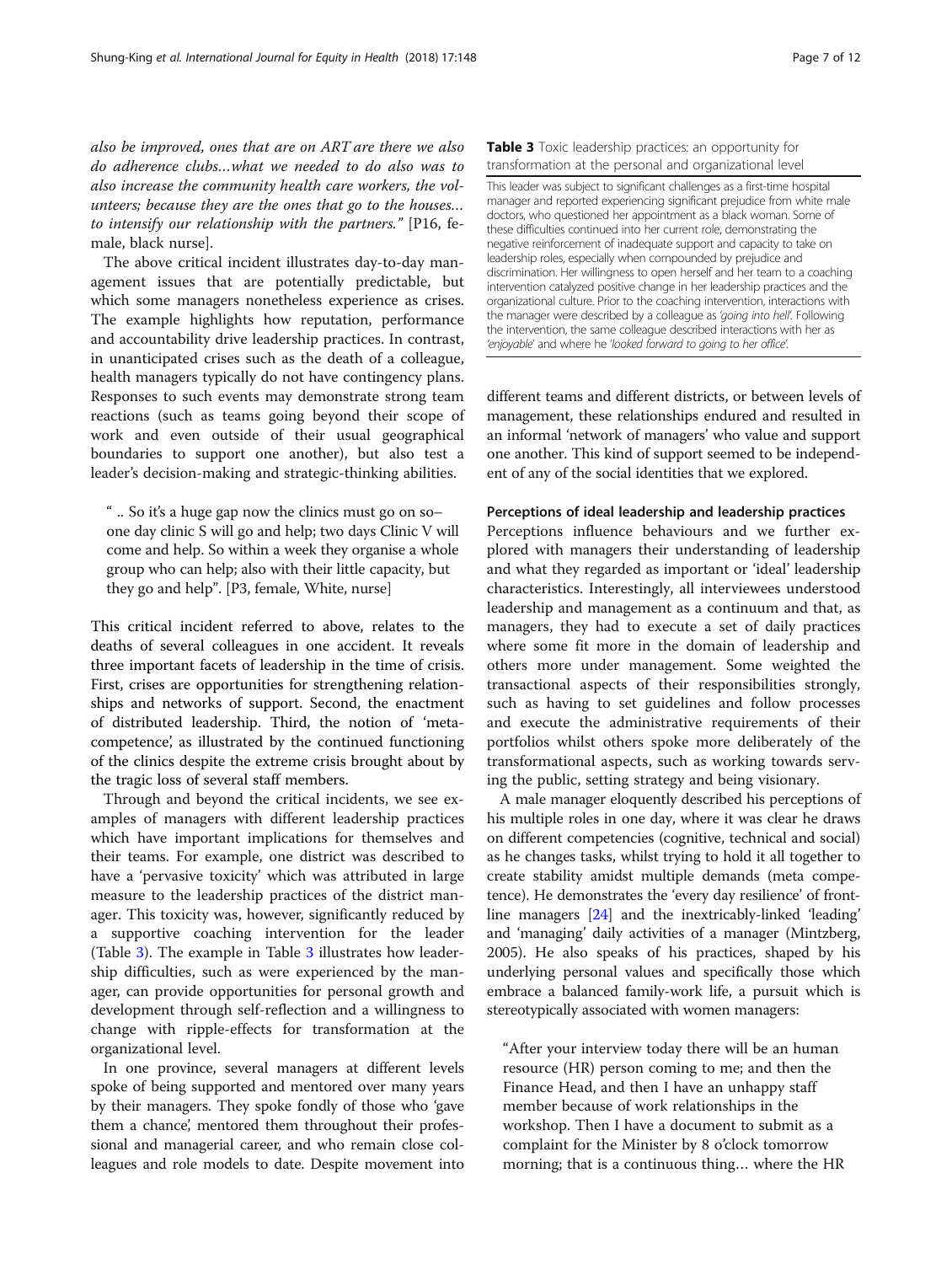also be improved, ones that are on ART are there we also do adherence clubs…what we needed to do also was to also increase the community health care workers, the volunteers; because they are the ones that go to the houses… to intensify our relationship with the partners." [P16, female, black nurse].

The above critical incident illustrates day-to-day management issues that are potentially predictable, but which some managers nonetheless experience as crises. The example highlights how reputation, performance and accountability drive leadership practices. In contrast, in unanticipated crises such as the death of a colleague, health managers typically do not have contingency plans. Responses to such events may demonstrate strong team reactions (such as teams going beyond their scope of work and even outside of their usual geographical boundaries to support one another), but also test a leader's decision-making and strategic-thinking abilities.

" .. So it's a huge gap now the clinics must go on so– one day clinic S will go and help; two days Clinic V will come and help. So within a week they organise a whole group who can help; also with their little capacity, but they go and help". [P3, female, White, nurse]

This critical incident referred to above, relates to the deaths of several colleagues in one accident. It reveals three important facets of leadership in the time of crisis. First, crises are opportunities for strengthening relationships and networks of support. Second, the enactment of distributed leadership. Third, the notion of 'metacompetence', as illustrated by the continued functioning of the clinics despite the extreme crisis brought about by the tragic loss of several staff members.

Through and beyond the critical incidents, we see examples of managers with different leadership practices which have important implications for themselves and their teams. For example, one district was described to have a 'pervasive toxicity' which was attributed in large measure to the leadership practices of the district manager. This toxicity was, however, significantly reduced by a supportive coaching intervention for the leader (Table 3). The example in Table 3 illustrates how leadership difficulties, such as were experienced by the manager, can provide opportunities for personal growth and development through self-reflection and a willingness to change with ripple-effects for transformation at the organizational level.

In one province, several managers at different levels spoke of being supported and mentored over many years by their managers. They spoke fondly of those who 'gave them a chance', mentored them throughout their professional and managerial career, and who remain close colleagues and role models to date. Despite movement into Table 3 Toxic leadership practices: an opportunity for transformation at the personal and organizational level

This leader was subject to significant challenges as a first-time hospital manager and reported experiencing significant prejudice from white male doctors, who questioned her appointment as a black woman. Some of these difficulties continued into her current role, demonstrating the negative reinforcement of inadequate support and capacity to take on leadership roles, especially when compounded by prejudice and discrimination. Her willingness to open herself and her team to a coaching intervention catalyzed positive change in her leadership practices and the organizational culture. Prior to the coaching intervention, interactions with the manager were described by a colleague as 'going into hell'. Following the intervention, the same colleague described interactions with her as 'enjoyable' and where he 'looked forward to going to her office'.

different teams and different districts, or between levels of management, these relationships endured and resulted in an informal 'network of managers' who value and support one another. This kind of support seemed to be independent of any of the social identities that we explored.

### Perceptions of ideal leadership and leadership practices

Perceptions influence behaviours and we further explored with managers their understanding of leadership and what they regarded as important or 'ideal' leadership characteristics. Interestingly, all interviewees understood leadership and management as a continuum and that, as managers, they had to execute a set of daily practices where some fit more in the domain of leadership and others more under management. Some weighted the transactional aspects of their responsibilities strongly, such as having to set guidelines and follow processes and execute the administrative requirements of their portfolios whilst others spoke more deliberately of the transformational aspects, such as working towards serving the public, setting strategy and being visionary.

A male manager eloquently described his perceptions of his multiple roles in one day, where it was clear he draws on different competencies (cognitive, technical and social) as he changes tasks, whilst trying to hold it all together to create stability amidst multiple demands (meta competence). He demonstrates the 'every day resilience' of frontline managers [[24\]](#page-11-0) and the inextricably-linked 'leading' and 'managing' daily activities of a manager (Mintzberg, 2005). He also speaks of his practices, shaped by his underlying personal values and specifically those which embrace a balanced family-work life, a pursuit which is stereotypically associated with women managers:

"After your interview today there will be an human resource (HR) person coming to me; and then the Finance Head, and then I have an unhappy staff member because of work relationships in the workshop. Then I have a document to submit as a complaint for the Minister by 8 o'clock tomorrow morning; that is a continuous thing… where the HR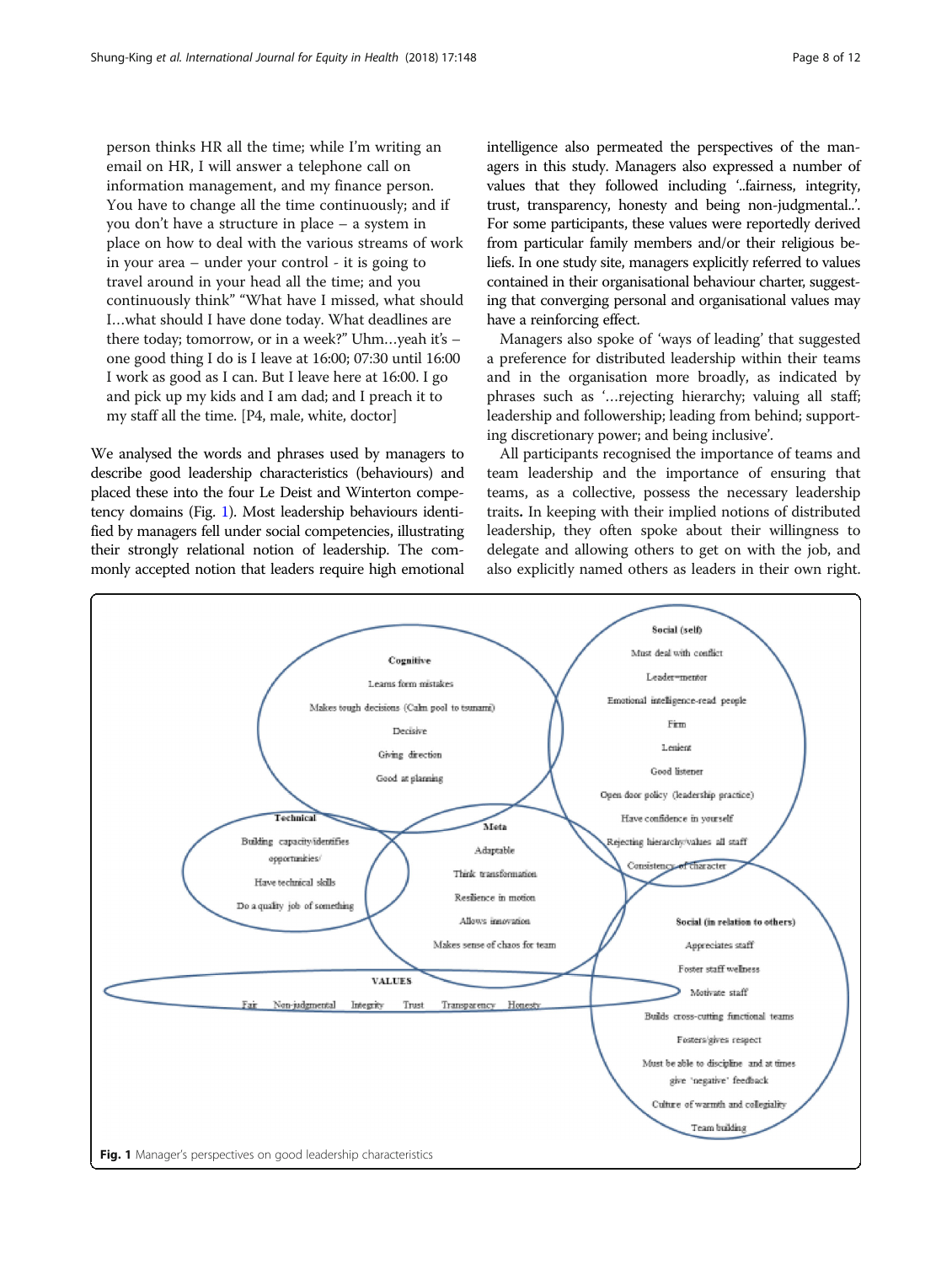person thinks HR all the time; while I'm writing an email on HR, I will answer a telephone call on information management, and my finance person. You have to change all the time continuously; and if you don't have a structure in place – a system in place on how to deal with the various streams of work in your area – under your control - it is going to travel around in your head all the time; and you continuously think" "What have I missed, what should I…what should I have done today. What deadlines are there today; tomorrow, or in a week?" Uhm…yeah it's – one good thing I do is I leave at 16:00; 07:30 until 16:00 I work as good as I can. But I leave here at 16:00. I go and pick up my kids and I am dad; and I preach it to my staff all the time. [P4, male, white, doctor]

We analysed the words and phrases used by managers to describe good leadership characteristics (behaviours) and placed these into the four Le Deist and Winterton competency domains (Fig. 1). Most leadership behaviours identified by managers fell under social competencies, illustrating their strongly relational notion of leadership. The commonly accepted notion that leaders require high emotional

intelligence also permeated the perspectives of the managers in this study. Managers also expressed a number of values that they followed including '..fairness, integrity, trust, transparency, honesty and being non-judgmental..'. For some participants, these values were reportedly derived from particular family members and/or their religious beliefs. In one study site, managers explicitly referred to values contained in their organisational behaviour charter, suggesting that converging personal and organisational values may have a reinforcing effect.

Managers also spoke of 'ways of leading' that suggested a preference for distributed leadership within their teams and in the organisation more broadly, as indicated by phrases such as '…rejecting hierarchy; valuing all staff; leadership and followership; leading from behind; supporting discretionary power; and being inclusive'.

All participants recognised the importance of teams and team leadership and the importance of ensuring that teams, as a collective, possess the necessary leadership traits. In keeping with their implied notions of distributed leadership, they often spoke about their willingness to delegate and allowing others to get on with the job, and also explicitly named others as leaders in their own right.

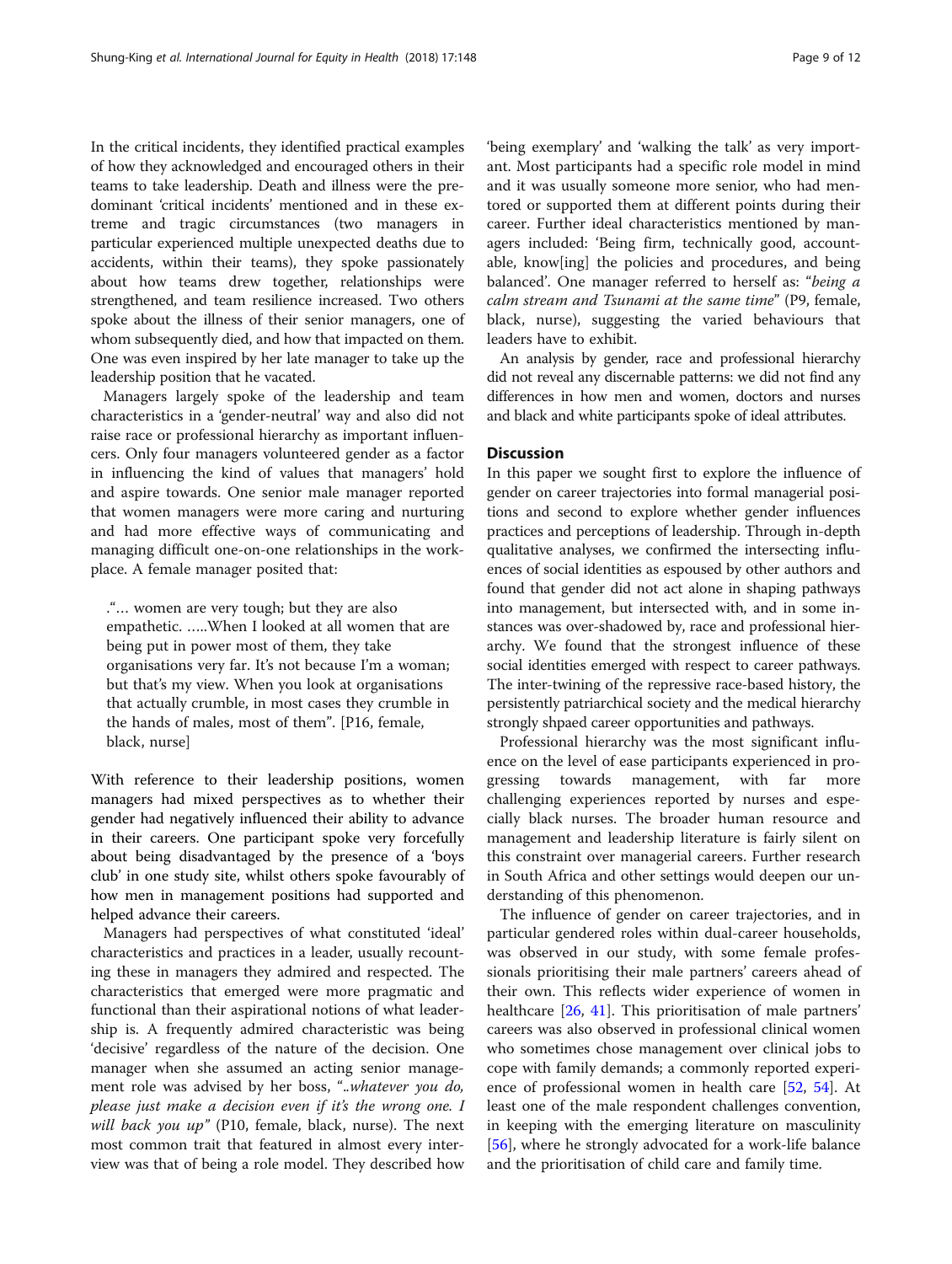In the critical incidents, they identified practical examples of how they acknowledged and encouraged others in their teams to take leadership. Death and illness were the predominant 'critical incidents' mentioned and in these extreme and tragic circumstances (two managers in particular experienced multiple unexpected deaths due to accidents, within their teams), they spoke passionately about how teams drew together, relationships were strengthened, and team resilience increased. Two others spoke about the illness of their senior managers, one of whom subsequently died, and how that impacted on them. One was even inspired by her late manager to take up the

leadership position that he vacated. Managers largely spoke of the leadership and team characteristics in a 'gender-neutral' way and also did not raise race or professional hierarchy as important influencers. Only four managers volunteered gender as a factor in influencing the kind of values that managers' hold and aspire towards. One senior male manager reported that women managers were more caring and nurturing and had more effective ways of communicating and managing difficult one-on-one relationships in the workplace. A female manager posited that:

."… women are very tough; but they are also empathetic. …..When I looked at all women that are being put in power most of them, they take organisations very far. It's not because I'm a woman; but that's my view. When you look at organisations that actually crumble, in most cases they crumble in the hands of males, most of them". [P16, female, black, nurse]

With reference to their leadership positions, women managers had mixed perspectives as to whether their gender had negatively influenced their ability to advance in their careers. One participant spoke very forcefully about being disadvantaged by the presence of a 'boys club' in one study site, whilst others spoke favourably of how men in management positions had supported and helped advance their careers.

Managers had perspectives of what constituted 'ideal' characteristics and practices in a leader, usually recounting these in managers they admired and respected. The characteristics that emerged were more pragmatic and functional than their aspirational notions of what leadership is. A frequently admired characteristic was being 'decisive' regardless of the nature of the decision. One manager when she assumed an acting senior management role was advised by her boss, "..whatever you do, please just make a decision even if it's the wrong one. I will back you  $up''$  (P10, female, black, nurse). The next most common trait that featured in almost every interview was that of being a role model. They described how

'being exemplary' and 'walking the talk' as very important. Most participants had a specific role model in mind and it was usually someone more senior, who had mentored or supported them at different points during their career. Further ideal characteristics mentioned by managers included: 'Being firm, technically good, accountable, know[ing] the policies and procedures, and being balanced'. One manager referred to herself as: "being a calm stream and Tsunami at the same time" (P9, female, black, nurse), suggesting the varied behaviours that leaders have to exhibit.

An analysis by gender, race and professional hierarchy did not reveal any discernable patterns: we did not find any differences in how men and women, doctors and nurses and black and white participants spoke of ideal attributes.

## **Discussion**

In this paper we sought first to explore the influence of gender on career trajectories into formal managerial positions and second to explore whether gender influences practices and perceptions of leadership. Through in-depth qualitative analyses, we confirmed the intersecting influences of social identities as espoused by other authors and found that gender did not act alone in shaping pathways into management, but intersected with, and in some instances was over-shadowed by, race and professional hierarchy. We found that the strongest influence of these social identities emerged with respect to career pathways. The inter-twining of the repressive race-based history, the persistently patriarchical society and the medical hierarchy strongly shpaed career opportunities and pathways.

Professional hierarchy was the most significant influence on the level of ease participants experienced in progressing towards management, with far more challenging experiences reported by nurses and especially black nurses. The broader human resource and management and leadership literature is fairly silent on this constraint over managerial careers. Further research in South Africa and other settings would deepen our understanding of this phenomenon.

The influence of gender on career trajectories, and in particular gendered roles within dual-career households, was observed in our study, with some female professionals prioritising their male partners' careers ahead of their own. This reflects wider experience of women in healthcare [[26,](#page-11-0) [41\]](#page-11-0). This prioritisation of male partners' careers was also observed in professional clinical women who sometimes chose management over clinical jobs to cope with family demands; a commonly reported experience of professional women in health care [[52,](#page-11-0) [54\]](#page-11-0). At least one of the male respondent challenges convention, in keeping with the emerging literature on masculinity [[56\]](#page-11-0), where he strongly advocated for a work-life balance and the prioritisation of child care and family time.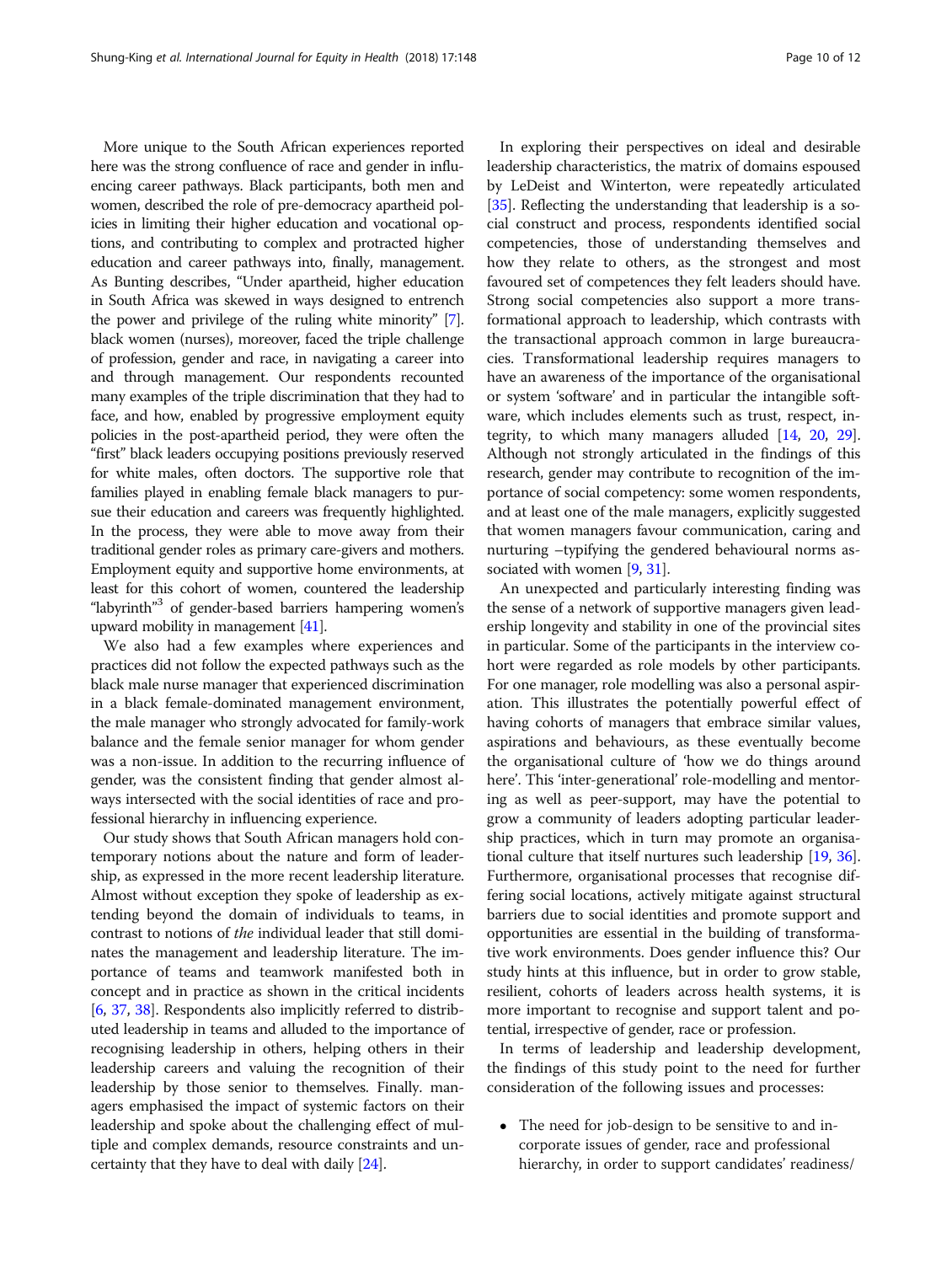More unique to the South African experiences reported here was the strong confluence of race and gender in influencing career pathways. Black participants, both men and women, described the role of pre-democracy apartheid policies in limiting their higher education and vocational options, and contributing to complex and protracted higher education and career pathways into, finally, management. As Bunting describes, "Under apartheid, higher education in South Africa was skewed in ways designed to entrench the power and privilege of the ruling white minority" [[7](#page-11-0)]. black women (nurses), moreover, faced the triple challenge of profession, gender and race, in navigating a career into and through management. Our respondents recounted many examples of the triple discrimination that they had to face, and how, enabled by progressive employment equity policies in the post-apartheid period, they were often the "first" black leaders occupying positions previously reserved for white males, often doctors. The supportive role that families played in enabling female black managers to pursue their education and careers was frequently highlighted. In the process, they were able to move away from their traditional gender roles as primary care-givers and mothers. Employment equity and supportive home environments, at least for this cohort of women, countered the leadership "labyrinth"<sup>3</sup> of gender-based barriers hampering women's upward mobility in management [\[41\]](#page-11-0).

We also had a few examples where experiences and practices did not follow the expected pathways such as the black male nurse manager that experienced discrimination in a black female-dominated management environment, the male manager who strongly advocated for family-work balance and the female senior manager for whom gender was a non-issue. In addition to the recurring influence of gender, was the consistent finding that gender almost always intersected with the social identities of race and professional hierarchy in influencing experience.

Our study shows that South African managers hold contemporary notions about the nature and form of leadership, as expressed in the more recent leadership literature. Almost without exception they spoke of leadership as extending beyond the domain of individuals to teams, in contrast to notions of the individual leader that still dominates the management and leadership literature. The importance of teams and teamwork manifested both in concept and in practice as shown in the critical incidents [[6,](#page-11-0) [37](#page-11-0), [38](#page-11-0)]. Respondents also implicitly referred to distributed leadership in teams and alluded to the importance of recognising leadership in others, helping others in their leadership careers and valuing the recognition of their leadership by those senior to themselves. Finally. managers emphasised the impact of systemic factors on their leadership and spoke about the challenging effect of multiple and complex demands, resource constraints and uncertainty that they have to deal with daily [\[24\]](#page-11-0).

In exploring their perspectives on ideal and desirable leadership characteristics, the matrix of domains espoused by LeDeist and Winterton, were repeatedly articulated [[35](#page-11-0)]. Reflecting the understanding that leadership is a social construct and process, respondents identified social competencies, those of understanding themselves and how they relate to others, as the strongest and most favoured set of competences they felt leaders should have. Strong social competencies also support a more transformational approach to leadership, which contrasts with the transactional approach common in large bureaucracies. Transformational leadership requires managers to have an awareness of the importance of the organisational or system 'software' and in particular the intangible software, which includes elements such as trust, respect, integrity, to which many managers alluded [\[14](#page-11-0), [20](#page-11-0), [29](#page-11-0)]. Although not strongly articulated in the findings of this research, gender may contribute to recognition of the importance of social competency: some women respondents, and at least one of the male managers, explicitly suggested that women managers favour communication, caring and nurturing –typifying the gendered behavioural norms as-sociated with women [\[9,](#page-11-0) [31](#page-11-0)].

An unexpected and particularly interesting finding was the sense of a network of supportive managers given leadership longevity and stability in one of the provincial sites in particular. Some of the participants in the interview cohort were regarded as role models by other participants. For one manager, role modelling was also a personal aspiration. This illustrates the potentially powerful effect of having cohorts of managers that embrace similar values, aspirations and behaviours, as these eventually become the organisational culture of 'how we do things around here'. This 'inter-generational' role-modelling and mentoring as well as peer-support, may have the potential to grow a community of leaders adopting particular leadership practices, which in turn may promote an organisational culture that itself nurtures such leadership [[19](#page-11-0), [36](#page-11-0)]. Furthermore, organisational processes that recognise differing social locations, actively mitigate against structural barriers due to social identities and promote support and opportunities are essential in the building of transformative work environments. Does gender influence this? Our study hints at this influence, but in order to grow stable, resilient, cohorts of leaders across health systems, it is more important to recognise and support talent and potential, irrespective of gender, race or profession.

In terms of leadership and leadership development, the findings of this study point to the need for further consideration of the following issues and processes:

• The need for job-design to be sensitive to and incorporate issues of gender, race and professional hierarchy, in order to support candidates' readiness/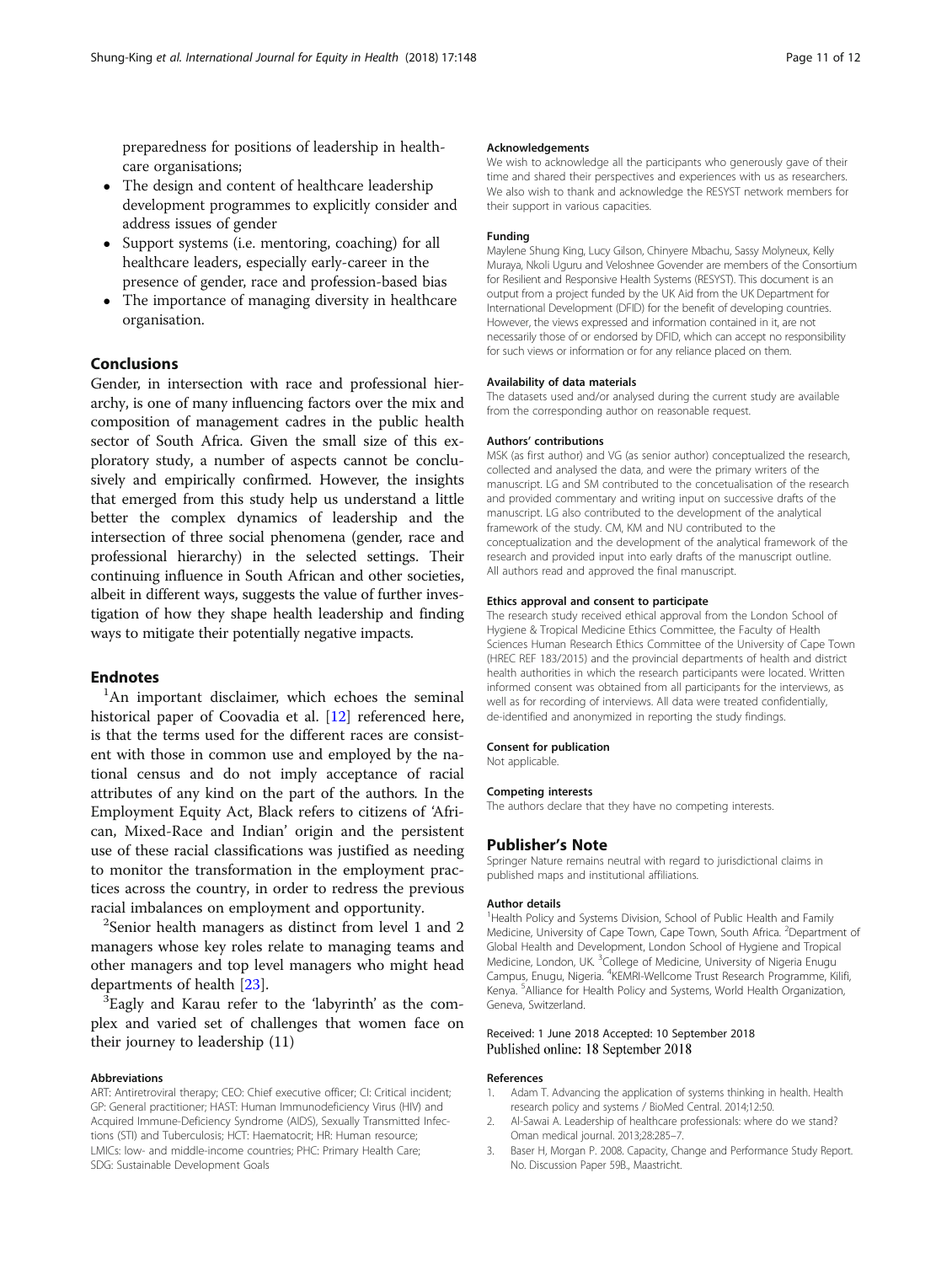<span id="page-10-0"></span>preparedness for positions of leadership in healthcare organisations;

- The design and content of healthcare leadership development programmes to explicitly consider and address issues of gender
- Support systems (i.e. mentoring, coaching) for all healthcare leaders, especially early-career in the presence of gender, race and profession-based bias
- The importance of managing diversity in healthcare organisation.

## Conclusions

Gender, in intersection with race and professional hierarchy, is one of many influencing factors over the mix and composition of management cadres in the public health sector of South Africa. Given the small size of this exploratory study, a number of aspects cannot be conclusively and empirically confirmed. However, the insights that emerged from this study help us understand a little better the complex dynamics of leadership and the intersection of three social phenomena (gender, race and professional hierarchy) in the selected settings. Their continuing influence in South African and other societies, albeit in different ways, suggests the value of further investigation of how they shape health leadership and finding ways to mitigate their potentially negative impacts.

## **Endnotes**

<sup>1</sup>An important disclaimer, which echoes the seminal historical paper of Coovadia et al. [[12\]](#page-11-0) referenced here, is that the terms used for the different races are consistent with those in common use and employed by the national census and do not imply acceptance of racial attributes of any kind on the part of the authors. In the Employment Equity Act, Black refers to citizens of 'African, Mixed-Race and Indian' origin and the persistent use of these racial classifications was justified as needing to monitor the transformation in the employment practices across the country, in order to redress the previous racial imbalances on employment and opportunity. <sup>2</sup>

<sup>2</sup>Senior health managers as distinct from level 1 and 2 managers whose key roles relate to managing teams and other managers and top level managers who might head departments of health [\[23\]](#page-11-0).

 ${}^{3}$ Eagly and Karau refer to the 'labyrinth' as the complex and varied set of challenges that women face on their journey to leadership (11)

#### Abbreviations

ART: Antiretroviral therapy; CEO: Chief executive officer; CI: Critical incident; GP: General practitioner; HAST: Human Immunodeficiency Virus (HIV) and Acquired Immune-Deficiency Syndrome (AIDS), Sexually Transmitted Infections (STI) and Tuberculosis; HCT: Haematocrit; HR: Human resource; LMICs: low- and middle-income countries; PHC: Primary Health Care; SDG: Sustainable Development Goals

#### Acknowledgements

We wish to acknowledge all the participants who generously gave of their time and shared their perspectives and experiences with us as researchers. We also wish to thank and acknowledge the RESYST network members for their support in various capacities.

#### Funding

Maylene Shung King, Lucy Gilson, Chinyere Mbachu, Sassy Molyneux, Kelly Muraya, Nkoli Uguru and Veloshnee Govender are members of the Consortium for Resilient and Responsive Health Systems (RESYST). This document is an output from a project funded by the UK Aid from the UK Department for International Development (DFID) for the benefit of developing countries. However, the views expressed and information contained in it, are not necessarily those of or endorsed by DFID, which can accept no responsibility for such views or information or for any reliance placed on them.

#### Availability of data materials

The datasets used and/or analysed during the current study are available from the corresponding author on reasonable request.

#### Authors' contributions

MSK (as first author) and VG (as senior author) conceptualized the research, collected and analysed the data, and were the primary writers of the manuscript. LG and SM contributed to the concetualisation of the research and provided commentary and writing input on successive drafts of the manuscript. LG also contributed to the development of the analytical framework of the study. CM, KM and NU contributed to the conceptualization and the development of the analytical framework of the research and provided input into early drafts of the manuscript outline. All authors read and approved the final manuscript.

#### Ethics approval and consent to participate

The research study received ethical approval from the London School of Hygiene & Tropical Medicine Ethics Committee, the Faculty of Health Sciences Human Research Ethics Committee of the University of Cape Town (HREC REF 183/2015) and the provincial departments of health and district health authorities in which the research participants were located. Written informed consent was obtained from all participants for the interviews, as well as for recording of interviews. All data were treated confidentially, de-identified and anonymized in reporting the study findings.

#### Consent for publication

Not applicable.

#### Competing interests

The authors declare that they have no competing interests.

#### Publisher's Note

Springer Nature remains neutral with regard to jurisdictional claims in published maps and institutional affiliations.

#### Author details

<sup>1</sup> Health Policy and Systems Division, School of Public Health and Family Medicine, University of Cape Town, Cape Town, South Africa. <sup>2</sup>Department of Global Health and Development, London School of Hygiene and Tropical Medicine, London, UK.<sup>3</sup> College of Medicine, University of Nigeria Enugu Campus, Enugu, Nigeria. <sup>4</sup>KEMRI-Wellcome Trust Research Programme, Kilifi, Kenya. <sup>5</sup> Alliance for Health Policy and Systems, World Health Organization Geneva, Switzerland.

#### Received: 1 June 2018 Accepted: 10 September 2018 Published online: 18 September 2018

### References

- Adam T. Advancing the application of systems thinking in health. Health research policy and systems / BioMed Central. 2014;12:50.
- 2. Al-Sawai A. Leadership of healthcare professionals: where do we stand? Oman medical journal. 2013;28:285–7.
- 3. Baser H, Morgan P. 2008. Capacity, Change and Performance Study Report. No. Discussion Paper 59B., Maastricht.